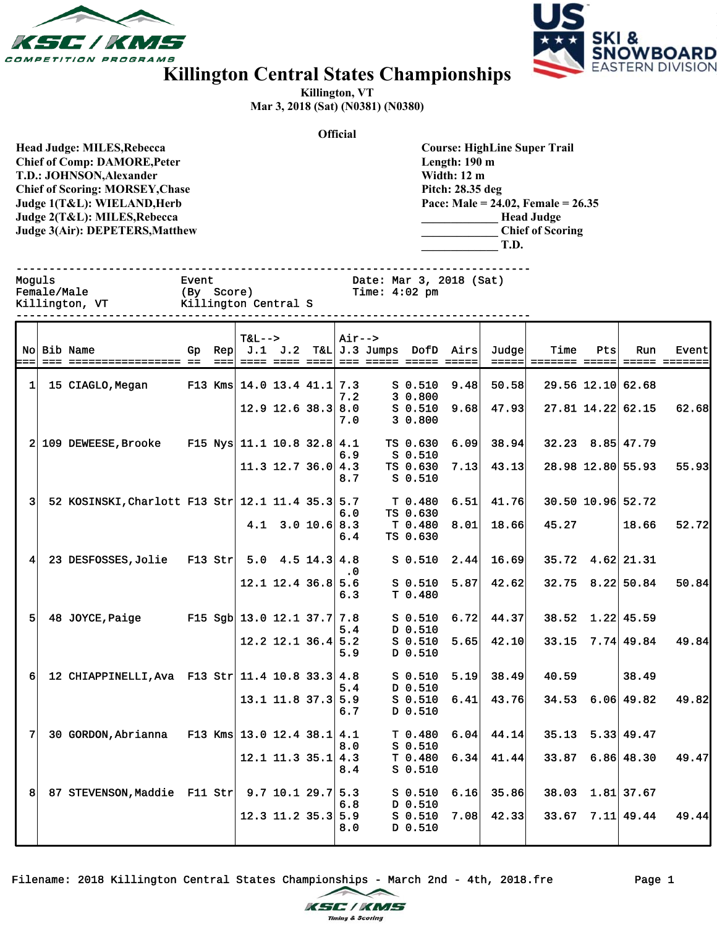



## **Killington Central States Championships**

**Killington, VT Mar 3, 2018 (Sat) (N0381) (N0380)**

**Official**

**Head Judge: MILES,Rebecca Chief of Comp: DAMORE,Peter T.D.: JOHNSON,Alexander Chief of Scoring: MORSEY,Chase Judge 1(T&L): WIELAND,Herb Judge 2(T&L): MILES,Rebecca Judge 3(Air): DEPETERS,Matthew** 

**Course: HighLine Super Trail Length: 190 m Width: 12 m Pitch: 28.35 deg Pace: Male = 24.02, Female = 26.35 \_\_\_\_\_\_\_\_\_\_\_\_\_ Head Judge \_\_\_\_\_\_\_\_\_\_\_\_\_ Chief of Scoring \_\_\_\_\_\_\_\_\_\_\_\_\_ T.D.**

------------------------------------------------------------------------------ ---------------<br>2018 (Sat)

| Moguls         | Event                | Date: Mar 3, 2018 (Sat) |
|----------------|----------------------|-------------------------|
| Female/Male    | (By Score)           | Time: 4:02 pm           |
| Killington, VT | Killington Central S |                         |
|                |                      |                         |

| ===1           | No Bib Name                                        |           | $T&L-->$ |                                      | $Air--$    |                                |      | Gp Rep $J.1$ J.2 T&L J.3 Jumps DofD Airs Judge | Time  | Pts | Run                      | Event |
|----------------|----------------------------------------------------|-----------|----------|--------------------------------------|------------|--------------------------------|------|------------------------------------------------|-------|-----|--------------------------|-------|
| 1              | 15 CIAGLO, Megan                                   |           |          | F13 Kms $14.0$ 13.4 41.1 7.3         | 7.2        | $S$ 0.510<br>30.800            | 9.48 | 50.58                                          |       |     | 29.56 12.10 62.68        |       |
|                |                                                    |           |          | $12.9$ 12.6 38.3                     | 8.0<br>7.0 | $S$ 0.510<br>30.800            | 9.68 | 47.93                                          |       |     | 27.81 14.22 62.15        | 62.68 |
|                | 2 109 DEWEESE, Brooke                              |           |          | F15 Nys 11.1 10.8 32.8 4.1           | 6.9        | TS 0.630<br>$S$ 0.510          | 6.09 | 38.94                                          |       |     | $32.23$ $8.85$ 47.79     |       |
|                |                                                    |           |          | $11.3$ 12.7 36.0 4.3                 | 8.7        | TS 0.630<br>$S$ 0.510          | 7.13 | 43.13                                          |       |     | 28.98 12.80 55.93        | 55.93 |
| $\overline{3}$ | 52 KOSINSKI, Charlott F13 Str 12.1 11.4 35.3 5.7   |           |          |                                      | 6.0        | T <sub>0.480</sub><br>TS 0.630 | 6.51 | 41.76                                          |       |     | 30.50 10.96 52.72        |       |
|                |                                                    |           |          | $4.1$ 3.0 10.6 8.3                   | 6.4        | T 0.480<br>TS 0.630            | 8.01 | 18.66                                          | 45.27 |     | 18.66                    | 52.72 |
| 4              | 23 DESFOSSES, Jolie                                | $F13$ Str |          | $5.0 \quad 4.5 \quad 14.3 \quad 4.8$ | $\cdot$ 0  | $S$ 0.510                      | 2.44 | 16.69                                          |       |     | 35.72 4.62 21.31         |       |
|                |                                                    |           |          | $12.1$ 12.4 36.8 5.6                 | 6.3        | $S$ 0.510<br>T 0.480           | 5.87 | 42.62                                          |       |     | 32.75 8.22 50.84         | 50.84 |
| 5              | 48 JOYCE, Paige                                    |           |          | F15 Sgb $13.0$ 12.1 37.7 7.8         | 5.4        | $S$ 0.510<br>D 0.510           | 6.72 | 44.37                                          |       |     | $38.52 \quad 1.22$ 45.59 |       |
|                |                                                    |           |          | $12.2$ 12.1 36.4 5.2                 | 5.9        | $S$ 0.510<br>D 0.510           | 5.65 | 42.10                                          |       |     | $33.15$ $7.74$ 49.84     | 49.84 |
| 6              | 12 CHIAPPINELLI, Ava F13 Str $ 11.4 10.8 33.3 4.8$ |           |          |                                      | 5.4        | $S$ 0.510<br>D 0.510           | 5.19 | 38.49                                          | 40.59 |     | 38.49                    |       |
|                |                                                    |           |          | $13.1$ 11.8 37.3 5.9                 | 6.7        | $S$ 0.510<br>D 0.510           | 6.41 | 43.76                                          |       |     | $34.53$ 6.06 49.82       | 49.82 |
| 7              | 30 GORDON, Abrianna                                |           |          | F13 Kms $13.0$ 12.4 38.1 4.1         | 8.0        | T 0.480<br>$S$ 0.510           | 6.04 | 44.14                                          |       |     | $35.13$ $5.33$ 49.47     |       |
|                |                                                    |           |          | $12.1$ 11.3 35.1 4.3                 | 8.4        | T 0.480<br>$S$ 0.510           | 6.34 | 41.44                                          | 33.87 |     | 6.86 48.30               | 49.47 |
| 8 <sup>1</sup> | 87 STEVENSON, Maddie F11 Str 9.7 10.1 29.7 5.3     |           |          |                                      | 6.8        | $S$ 0.510<br>D 0.510           | 6.16 | 35.86                                          |       |     | 38.03 1.81 37.67         |       |
|                |                                                    |           |          | $12.3$ 11.2 35.3 5.9                 | 8.0        | $S$ 0.510<br>D 0.510           | 7.08 | 42.33                                          |       |     | $33.67$ $7.11$ 49.44     | 49.44 |

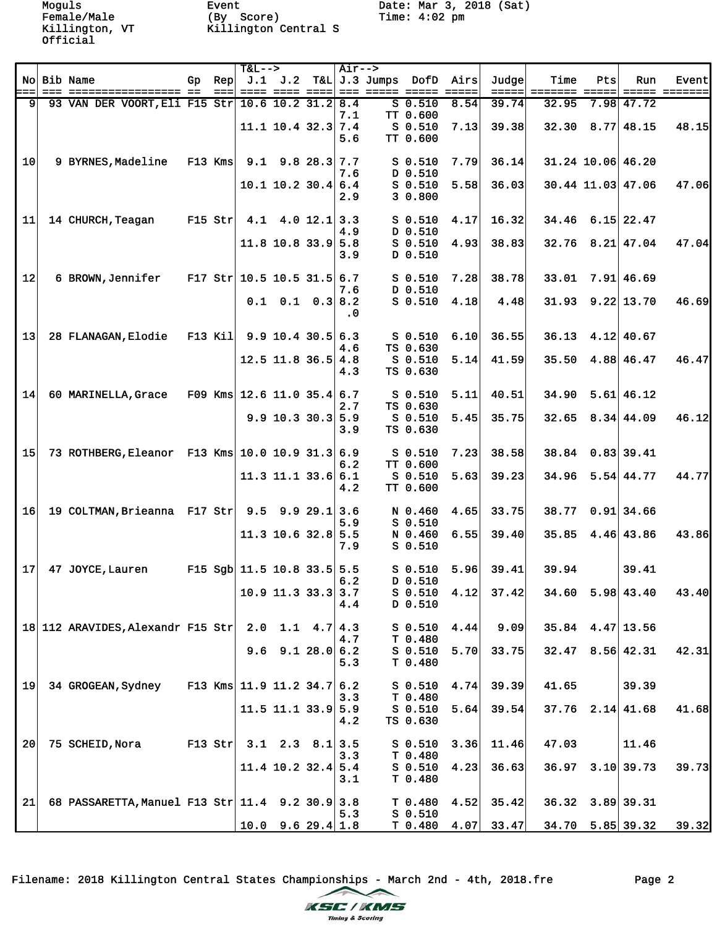Female/Male (By Score) Time: 4:02 pm Killington, VT Killington Central S

Moguls Event Date: Mar 3, 2018 (Sat)

|                 |                                                  |           |                   | $T&L-->$                     |                                  | Air-->     |                                 |      |       |                                |     |                        |       |
|-----------------|--------------------------------------------------|-----------|-------------------|------------------------------|----------------------------------|------------|---------------------------------|------|-------|--------------------------------|-----|------------------------|-------|
|                 | No Bib Name                                      | Gp        | Rep               |                              |                                  |            | J.1 J.2 T&L J.3 Jumps DofD Airs |      | Judge | Time                           | Pts | Run                    | Event |
| === <br>91      | 93 VAN DER VOORT, Eli F15 Str 10.6 10.2 31.2 8.4 |           | $=$ $=$ $=$ $\pm$ |                              |                                  |            | $S$ 0.510                       | 8.54 | 39.74 | =====  ======= ===== <br>32.95 |     | $7.98$ 47.72           |       |
|                 |                                                  |           |                   |                              |                                  | 7.1        | TT 0.600                        |      |       |                                |     |                        |       |
|                 |                                                  |           |                   |                              | $11.1$ 10.4 32.3 7.4             |            | $S$ 0.510                       | 7.13 | 39.38 |                                |     | $32.30$ $8.77$ 48.15   | 48.15 |
|                 |                                                  |           |                   |                              |                                  | 5.6        | TT 0.600                        |      |       |                                |     |                        |       |
|                 |                                                  |           |                   |                              |                                  |            |                                 |      |       |                                |     |                        |       |
| 10              | 9 BYRNES, Madeline                               |           | $F13$ Kms         |                              | $9.1$ $9.8$ $28.3$ 7.7           |            | $S$ 0.510                       | 7.79 | 36.14 |                                |     | 31.24 10.06 46.20      |       |
|                 |                                                  |           |                   |                              | $10.1$ 10.2 30.4 6.4             | 7.6        | D 0.510<br>$S$ 0.510            | 5.58 | 36.03 |                                |     | 30.44 11.03 47.06      | 47.06 |
|                 |                                                  |           |                   |                              |                                  | 2.9        | 3 0.800                         |      |       |                                |     |                        |       |
|                 |                                                  |           |                   |                              |                                  |            |                                 |      |       |                                |     |                        |       |
| 11              | 14 CHURCH, Teagan                                | $F15$ Str |                   |                              | 4.1 4.0 12.1 3.3                 |            | $S$ 0.510                       | 4.17 | 16.32 |                                |     | $34.46$ 6.15 22.47     |       |
|                 |                                                  |           |                   |                              |                                  | 4.9        | D 0.510                         |      |       |                                |     |                        |       |
|                 |                                                  |           |                   |                              | $11.8$ 10.8 33.9 5.8             |            | $S$ 0.510                       | 4.93 | 38.83 |                                |     | $32.76$ $8.21$ 47.04   | 47.04 |
|                 |                                                  |           |                   |                              |                                  | 3.9        | D 0.510                         |      |       |                                |     |                        |       |
| 12              | 6 BROWN, Jennifer                                |           |                   | F17 Str $10.5$ 10.5 31.5 6.7 |                                  |            | $S$ 0.510                       | 7.28 | 38.78 | 33.01                          |     | 7.91 46.69             |       |
|                 |                                                  |           |                   |                              |                                  | 7.6        | D 0.510                         |      |       |                                |     |                        |       |
|                 |                                                  |           |                   |                              | $0.1 \quad 0.1 \quad 0.3 \, 8.2$ |            | $S$ 0.510                       | 4.18 | 4.48  |                                |     | $31.93$ $9.22$ 13.70   | 46.69 |
|                 |                                                  |           |                   |                              |                                  | $\cdot$ 0  |                                 |      |       |                                |     |                        |       |
|                 |                                                  |           |                   |                              |                                  |            |                                 |      |       |                                |     |                        |       |
| 13              | 28 FLANAGAN, Elodie                              |           |                   | F13 Kil 9.9 10.4 30.5 6.3    |                                  | 4.6        | S 0.510<br>TS 0.630             | 6.10 | 36.55 |                                |     | $36.13$ 4.12 40.67     |       |
|                 |                                                  |           |                   |                              | $12.5$ 11.8 36.5 4.8             |            | S 0.510                         | 5.14 | 41.59 |                                |     | 35.50 4.88 46.47       | 46.47 |
|                 |                                                  |           |                   |                              |                                  | 4.3        | TS 0.630                        |      |       |                                |     |                        |       |
|                 |                                                  |           |                   |                              |                                  |            |                                 |      |       |                                |     |                        |       |
| 14              | 60 MARINELLA, Grace                              |           |                   | F09 Kms $12.6$ 11.0 35.4 6.7 |                                  |            | $S$ 0.510                       | 5.11 | 40.51 | 34.90                          |     | $5.61$ 46.12           |       |
|                 |                                                  |           |                   |                              |                                  | 2.7        | TS 0.630                        |      |       |                                |     |                        |       |
|                 |                                                  |           |                   |                              | $9.9$ 10.3 30.3 5.9              | 3.9        | $S$ 0.510<br>TS 0.630           | 5.45 | 35.75 |                                |     | $32.65$ $8.34$ 44.09   | 46.12 |
|                 |                                                  |           |                   |                              |                                  |            |                                 |      |       |                                |     |                        |       |
| 15 <sup>1</sup> | 73 ROTHBERG, Eleanor F13 Kms 10.0 10.9 31.3 6.9  |           |                   |                              |                                  |            | $S$ 0.510                       | 7.23 | 38.58 |                                |     | 38.84 0.83 39.41       |       |
|                 |                                                  |           |                   |                              |                                  | 6.2        | TT 0.600                        |      |       |                                |     |                        |       |
|                 |                                                  |           |                   |                              | $11.3$ 11.1 33.6 6.1             |            | $S$ 0.510                       | 5.63 | 39.23 |                                |     | $34.96$ 5.54 44.77     | 44.77 |
|                 |                                                  |           |                   |                              |                                  | 4.2        | TT 0.600                        |      |       |                                |     |                        |       |
| 16              | 19 COLTMAN, Brieanna F17 Str $9.5$ 9.9 29.1 3.6  |           |                   |                              |                                  |            | N 0.460                         | 4.65 | 33.75 |                                |     | 38.77 0.91 34.66       |       |
|                 |                                                  |           |                   |                              |                                  | 5.9        | $S$ 0.510                       |      |       |                                |     |                        |       |
|                 |                                                  |           |                   |                              | $11.3$ 10.6 32.8 5.5             |            | N 0.460                         | 6.55 | 39.40 |                                |     | $35.85$ 4.46 43.86     | 43.86 |
|                 |                                                  |           |                   |                              |                                  | 7.9        | $S$ 0.510                       |      |       |                                |     |                        |       |
|                 |                                                  |           |                   |                              |                                  |            |                                 |      |       |                                |     |                        |       |
| 17 <sup>1</sup> | 47 JOYCE, Lauren                                 |           |                   | F15 Sgb $11.5$ 10.8 33.5 5.5 |                                  | 6.2        | $S$ 0.510<br>D 0.510            | 5.96 | 39.41 | 39.94                          |     | 39.41                  |       |
|                 |                                                  |           |                   |                              | $10.9$ 11.3 33.3 3.7             |            | $S$ 0.510                       | 4.12 | 37.42 |                                |     | $34.60$ 5.98 43.40     | 43.40 |
|                 |                                                  |           |                   |                              |                                  | 4.4        | D 0.510                         |      |       |                                |     |                        |       |
|                 |                                                  |           |                   |                              |                                  |            |                                 |      |       |                                |     |                        |       |
|                 | 18 112 ARAVIDES, Alexandr F15 Str                |           |                   |                              | $2.0$ 1.1 $4.7$ 4.3              |            | $S_0.510$                       | 4.44 | 9.09  |                                |     | $35.84$ 4.47 13.56     |       |
|                 |                                                  |           |                   |                              |                                  | 4.7        | T 0.480                         |      |       |                                |     |                        |       |
|                 |                                                  |           |                   |                              | $9.6$ $9.1$ $28.0$ 6.2           | 5.3        | $S$ 0.510<br>T 0.480            | 5.70 | 33.75 |                                |     | $32.47$ $8.56$ 42.31   | 42.31 |
|                 |                                                  |           |                   |                              |                                  |            |                                 |      |       |                                |     |                        |       |
| 19              | 34 GROGEAN, Sydney                               |           |                   | F13 Kms $11.9$ 11.2 34.7 6.2 |                                  |            | $S$ 0.510                       | 4.74 | 39.39 | 41.65                          |     | 39.39                  |       |
|                 |                                                  |           |                   |                              |                                  | 3.3        | T 0.480                         |      |       |                                |     |                        |       |
|                 |                                                  |           |                   |                              | $11.5$ 11.1 33.9 5.9             |            | $S$ 0.510                       | 5.64 | 39.54 |                                |     | $37.76$ $2.14$ $41.68$ | 41.68 |
|                 |                                                  |           |                   |                              |                                  | 4.2        | TS 0.630                        |      |       |                                |     |                        |       |
| 20 <sub>1</sub> | 75 SCHEID, Nora                                  |           | $F13$ Str         |                              | $3.1$ $2.3$ $8.1$ $3.5$          |            | $S_0.510$                       | 3.36 | 11.46 | 47.03                          |     | 11.46                  |       |
|                 |                                                  |           |                   |                              |                                  | 3.3        | T 0.480                         |      |       |                                |     |                        |       |
|                 |                                                  |           |                   |                              | $11.4$ 10.2 32.4 5.4             |            | $S$ 0.510                       | 4.23 | 36.63 |                                |     | $36.97$ $3.10$ 39.73   | 39.73 |
|                 |                                                  |           |                   |                              |                                  | 3.1        | T 0.480                         |      |       |                                |     |                        |       |
|                 |                                                  |           |                   |                              |                                  |            |                                 |      |       |                                |     |                        |       |
| 21              | 68 PASSARETTA, Manuel F13 Str   11.4 9.2 30.9    |           |                   |                              |                                  | 3.8<br>5.3 | T 0.480<br>$S$ 0.510            | 4.52 | 35.42 |                                |     | $36.32$ $3.89$ 39.31   |       |
|                 |                                                  |           |                   |                              | $10.0$ 9.6 29.4 1.8              |            | T 0.480                         | 4.07 | 33.47 |                                |     | $34.70$ 5.85 39.32     | 39.32 |
|                 |                                                  |           |                   |                              |                                  |            |                                 |      |       |                                |     |                        |       |

Filename: 2018 Killington Central States Championships - March 2nd - 4th, 2018.fre Page 2



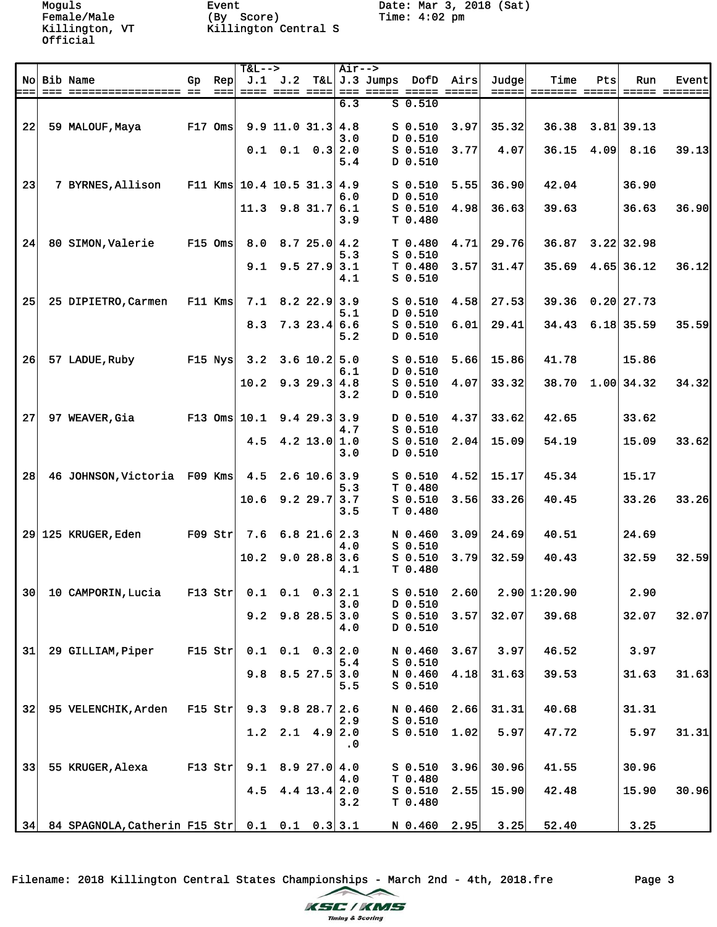Female/Male (By Score) Time: 4:02 pm Killington, VT Killington Central S

|    |                                                  |           |                   | T&L-->                       |                          |                       | Air-->    |                                              |              |                |       |                     |      |              |       |
|----|--------------------------------------------------|-----------|-------------------|------------------------------|--------------------------|-----------------------|-----------|----------------------------------------------|--------------|----------------|-------|---------------------|------|--------------|-------|
|    | No Bib Name                                      | Gp        | Rep               |                              | $J.1$ $J.2$              |                       |           | T&L J.3 Jumps DofD Airs                      |              |                | Judge | Time                | Pts  | Run          | Event |
|    |                                                  |           | $=$ $=$ $=$ $\pm$ |                              |                          |                       |           | <u>---- ---- ----  --- ----- ----- -----</u> |              |                |       |                     |      |              |       |
|    |                                                  |           |                   |                              |                          |                       | 6.3       |                                              | $S$ 0.510    |                |       |                     |      |              |       |
|    |                                                  |           |                   |                              |                          |                       |           |                                              |              |                |       |                     |      |              |       |
| 22 | 59 MALOUF, Maya                                  | $F17$ Oms |                   |                              | $9.9$ 11.0 31.3 4.8      |                       |           |                                              | $S_0.510$    | 3.97           | 35.32 | 36.38               |      | $3.81$ 39.13 |       |
|    |                                                  |           |                   |                              |                          |                       | 3.0       |                                              | D 0.510      |                |       |                     |      |              |       |
|    |                                                  |           |                   | 0.1                          |                          | $0.1 \quad 0.3   2.0$ |           |                                              | $S$ 0.510    | 3.77           | 4.07  | 36.15               | 4.09 | 8.16         | 39.13 |
|    |                                                  |           |                   |                              |                          |                       | 5.4       |                                              | D 0.510      |                |       |                     |      |              |       |
|    |                                                  |           |                   |                              |                          |                       |           |                                              |              |                |       |                     |      |              |       |
| 23 | 7 BYRNES, Allison                                |           |                   | F11 Kms $10.4$ 10.5 31.3 4.9 |                          |                       |           |                                              | $S$ 0.510    | 5.55           | 36.90 | 42.04               |      | 36.90        |       |
|    |                                                  |           |                   |                              |                          |                       | 6.0       |                                              | D 0.510      |                |       |                     |      |              |       |
|    |                                                  |           |                   |                              | $11.3$ 9.8 31.7          |                       | 6.1       |                                              | $S$ 0.510    | 4.98           | 36.63 | 39.63               |      | 36.63        | 36.90 |
|    |                                                  |           |                   |                              |                          |                       | 3.9       |                                              | T 0.480      |                |       |                     |      |              |       |
|    |                                                  |           |                   |                              |                          |                       |           |                                              |              |                |       |                     |      |              |       |
| 24 | 80 SIMON, Valerie                                | $F15$ Oms |                   |                              | $8.0$ $8.7$ $25.0$ $4.2$ |                       |           |                                              | T 0.480      | 4.71           | 29.76 | 36.87               |      | $3.22$ 32.98 |       |
|    |                                                  |           |                   |                              |                          |                       | 5.3       |                                              | $S$ 0.510    |                |       |                     |      |              |       |
|    |                                                  |           |                   | 9.1                          |                          | $9.5$ 27.9 3.1        |           |                                              | T 0.480      | 3.57           | 31.47 | 35.69               |      | $4.65$ 36.12 | 36.12 |
|    |                                                  |           |                   |                              |                          |                       | 4.1       |                                              | $S$ 0.510    |                |       |                     |      |              |       |
|    |                                                  |           |                   |                              |                          |                       |           |                                              |              |                |       |                     |      |              |       |
| 25 | 25 DIPIETRO, Carmen                              |           | $F11$ Kms         | 7.1                          |                          | $8.2$ 22.9 3.9        |           |                                              | $S_0.510$    | 4.58           | 27.53 | 39.36               |      | $0.20$ 27.73 |       |
|    |                                                  |           |                   |                              |                          |                       | 5.1       |                                              | D 0.510      |                |       |                     |      |              |       |
|    |                                                  |           |                   | 8.3                          |                          | $7.3$ 23.4 6.6        |           |                                              | $S$ 0.510    | 6.01           | 29.41 | 34.43               |      | $6.18$ 35.59 | 35.59 |
|    |                                                  |           |                   |                              |                          |                       | 5.2       |                                              | D 0.510      |                |       |                     |      |              |       |
|    |                                                  |           |                   |                              |                          |                       |           |                                              |              |                |       |                     |      |              |       |
| 26 | 57 LADUE, Ruby                                   |           | $F15$ Nys         | 3.2                          |                          | $3.6$ 10.2 5.0        |           |                                              | $S$ 0.510    | 5.66           | 15.86 | 41.78               |      | 15.86        |       |
|    |                                                  |           |                   |                              |                          |                       | 6.1       |                                              | D 0.510      |                |       |                     |      |              |       |
|    |                                                  |           |                   |                              | $10.2$ 9.3 29.3 4.8      |                       |           |                                              | $S$ 0.510    | 4.07           | 33.32 | 38.70               |      | 1.00 34.32   | 34.32 |
|    |                                                  |           |                   |                              |                          |                       | 3.2       |                                              | D 0.510      |                |       |                     |      |              |       |
|    |                                                  |           |                   |                              |                          |                       |           |                                              |              |                |       |                     |      |              |       |
| 27 |                                                  |           |                   |                              |                          | 9.429.333.9           |           |                                              |              |                |       |                     |      |              |       |
|    | 97 WEAVER, Gia                                   |           |                   | $F13$ Oms $10.1$             |                          |                       |           |                                              | $D$ 0.510    | 4.37           | 33.62 | 42.65               |      | 33.62        |       |
|    |                                                  |           |                   |                              |                          |                       | 4.7       |                                              | $S$ 0.510    |                |       |                     |      |              |       |
|    |                                                  |           |                   | 4.5                          |                          | $4.2$ 13.0 1.0        |           |                                              | $S$ 0.510    | 2.04           | 15.09 | 54.19               |      | 15.09        | 33.62 |
|    |                                                  |           |                   |                              |                          |                       | 3.0       |                                              | D 0.510      |                |       |                     |      |              |       |
|    |                                                  |           |                   |                              |                          |                       |           |                                              |              |                |       |                     |      |              |       |
| 28 | 46 JOHNSON, Victoria F09 Kms                     |           |                   | 4.5                          |                          | $2.6$ 10.6 3.9        |           |                                              | $S_0.510$    | 4.52           | 15.17 | 45.34               |      | 15.17        |       |
|    |                                                  |           |                   |                              |                          |                       | 5.3       |                                              | T 0.480      |                |       |                     |      |              |       |
|    |                                                  |           |                   | 10.6                         |                          | $9.2$ 29.7 3.7        |           |                                              | $S$ 0.510    | 3.56           | 33.26 | 40.45               |      | 33.26        | 33.26 |
|    |                                                  |           |                   |                              |                          |                       | 3.5       |                                              | T 0.480      |                |       |                     |      |              |       |
|    |                                                  |           |                   |                              |                          |                       |           |                                              |              |                |       |                     |      |              |       |
|    | 29 125 KRUGER, Eden                              | $F09$ Str |                   |                              | $7.6$ 6.8 21.6 2.3       |                       |           |                                              | N 0.460      | 3.09           | 24.69 | 40.51               |      | 24.69        |       |
|    |                                                  |           |                   |                              |                          |                       | 4.0       |                                              | $S$ 0.510    |                |       |                     |      |              |       |
|    |                                                  |           |                   | 10.2                         |                          | 9.028.83.6            |           |                                              | $S$ 0.510    | 3.79           | 32.59 | 40.43               |      | 32.59        | 32.59 |
|    |                                                  |           |                   |                              |                          |                       | 4.1       |                                              | T 0.480      |                |       |                     |      |              |       |
|    |                                                  |           |                   |                              |                          |                       |           |                                              |              |                |       |                     |      |              |       |
| 30 | 10 CAMPORIN, Lucia                               |           | $F13$ Str         |                              | $0.1$ $0.1$ $0.3$        |                       | 2.1       |                                              | S 0.510 2.60 |                |       | $2.90 \mid 1:20.90$ |      | 2.90         |       |
|    |                                                  |           |                   |                              |                          |                       | 3.0       |                                              | D 0.510      |                |       |                     |      |              |       |
|    |                                                  |           |                   | 9.2                          |                          | $9.8$ 28.5 3.0        |           |                                              | $S$ 0.510    | 3.57           | 32.07 | 39.68               |      | 32.07        | 32.07 |
|    |                                                  |           |                   |                              |                          |                       | 4.0       |                                              | D 0.510      |                |       |                     |      |              |       |
|    |                                                  |           |                   |                              |                          |                       |           |                                              |              |                |       |                     |      |              |       |
| 31 | 29 GILLIAM, Piper                                |           | $F15$ Str         |                              | $0.1$ $0.1$ $0.3$ $2.0$  |                       |           |                                              | N 0.460      | 3.67           | 3.97  | 46.52               |      | 3.97         |       |
|    |                                                  |           |                   |                              |                          |                       | 5.4       |                                              | $S$ 0.510    |                |       |                     |      |              |       |
|    |                                                  |           |                   | 9.8                          |                          | $8.5$ 27.5 3.0        |           |                                              | N 0.460      | 4.18           | 31.63 | 39.53               |      | 31.63        | 31.63 |
|    |                                                  |           |                   |                              |                          |                       | 5.5       |                                              | $S$ 0.510    |                |       |                     |      |              |       |
|    |                                                  |           |                   |                              |                          |                       |           |                                              |              |                |       |                     |      |              |       |
| 32 | 95 VELENCHIK, Arden                              | $F15$ Str |                   | 9.3                          |                          | $9.828.7$ 2.6         |           |                                              | N 0.460      | 2.66           | 31.31 | 40.68               |      | 31.31        |       |
|    |                                                  |           |                   |                              |                          |                       | 2.9       |                                              | $S$ 0.510    |                |       |                     |      |              |       |
|    |                                                  |           |                   | 1.2                          |                          | $2.1$ 4.9 2.0         |           |                                              | $S$ 0.510    | 1.02           | 5.97  | 47.72               |      | 5.97         | 31.31 |
|    |                                                  |           |                   |                              |                          |                       | $\cdot$ 0 |                                              |              |                |       |                     |      |              |       |
|    |                                                  |           |                   |                              |                          |                       |           |                                              |              |                |       |                     |      |              |       |
| 33 |                                                  |           |                   |                              |                          |                       |           |                                              |              |                |       |                     |      |              |       |
|    | 55 KRUGER, Alexa                                 |           | $F13$ Str         | 9.1                          |                          | 8.927.0 4.0           |           |                                              | $S$ 0.510    | 3.96           | 30.96 | 41.55               |      | 30.96        |       |
|    |                                                  |           |                   |                              |                          |                       | 4.0       |                                              | T 0.480      |                |       |                     |      |              |       |
|    |                                                  |           |                   | 4.5                          |                          | $4.4$ 13.4 2.0        |           |                                              | $S$ 0.510    | 2.55           | 15.90 | 42.48               |      | 15.90        | 30.96 |
|    |                                                  |           |                   |                              |                          |                       | 3.2       |                                              | T 0.480      |                |       |                     |      |              |       |
|    |                                                  |           |                   |                              |                          |                       |           |                                              |              |                |       |                     |      |              |       |
|    | 34 84 SPAGNOLA, Catherin F15 Str 0.1 0.1 0.3 3.1 |           |                   |                              |                          |                       |           |                                              |              | $N$ 0.460 2.95 | 3.25  | 52.40               |      | 3.25         |       |

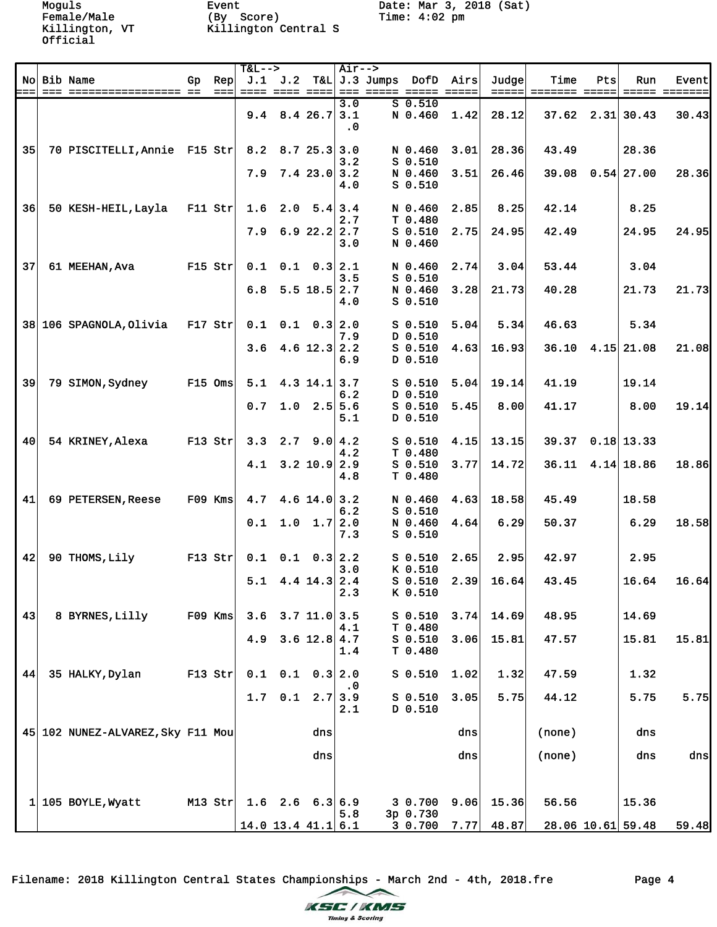Female/Male (By Score) Time: 4:02 pm Killington, VT Killington Central S

|                 |                                   |    |                 | $T&L--$ |     |                             | Air-->           |                                               |      |       |                      |     |                                |               |
|-----------------|-----------------------------------|----|-----------------|---------|-----|-----------------------------|------------------|-----------------------------------------------|------|-------|----------------------|-----|--------------------------------|---------------|
|                 | No Bib Name                       | Gp | Rep             |         |     |                             |                  | J.1 J.2 T&L J.3 Jumps DofD Airs               |      | Judge | Time                 | Pts | Run                            | Event         |
|                 |                                   |    | $=$ $=$ $=$ $ $ |         |     |                             |                  | <u> ==== ==== ====  === ===== ===== =====</u> |      |       | =====  ======= ===== |     |                                | ===== ======= |
|                 |                                   |    |                 |         |     | $9.4$ 8.4 26.7 3.1          | 3.0<br>$\cdot$ 0 | $S$ 0.510<br>N 0.460                          | 1.42 | 28.12 |                      |     | $37.62 \quad 2.31 \quad 30.43$ | 30.43         |
| 35              | 70 PISCITELLI, Annie F15 Str      |    |                 | 8.2     |     | 8.725.33.0                  | 3.2              | N 0.460<br>$S$ 0.510                          | 3.01 | 28.36 | 43.49                |     | 28.36                          |               |
|                 |                                   |    |                 | 7.9     |     | 7.423.0                     | 3.2<br>4.0       | N 0.460<br>$S$ 0.510                          | 3.51 | 26.46 |                      |     | 39.08 0.54 27.00               | 28.36         |
| 36              | 50 KESH-HEIL, Layla               |    | $F11$ Str       | 1.6     |     | $2.0$ 5.4                   | 3.4<br>2.7       | N 0.460<br>T 0.480                            | 2.85 | 8.25  | 42.14                |     | 8.25                           |               |
|                 |                                   |    |                 | 7.9     |     | 6.922.2                     | 2.7<br>3.0       | $S$ 0.510<br>N 0.460                          | 2.75 | 24.95 | 42.49                |     | 24.95                          | 24.95         |
| 37              | 61 MEEHAN, Ava                    |    | $F15$ Str       | 0.1     |     | $0.1 \quad 0.3$             | 2.1<br>3.5       | N 0.460<br>$S$ 0.510                          | 2.74 | 3.04  | 53.44                |     | 3.04                           |               |
|                 |                                   |    |                 | 6.8     |     | $5.5$ 18.5 2.7              | 4.0              | N 0.460<br>$S$ 0.510                          | 3.28 | 21.73 | 40.28                |     | 21.73                          | 21.73         |
|                 | 38 106 SPAGNOLA, Olivia           |    | $F17$ Str       | 0.1     |     | $0.1 \quad 0.3 \,   \, 2.0$ | 7.9              | $S_0.510$<br>D 0.510                          | 5.04 | 5.34  | 46.63                |     | 5.34                           |               |
|                 |                                   |    |                 | 3.6     |     | 4.6 $12.3$ 2.2              | 6.9              | $S$ 0.510<br>D 0.510                          | 4.63 | 16.93 | 36.10                |     | $4.15$ 21.08                   | 21.08         |
| 39              | 79 SIMON, Sydney                  |    | $F15$ Oms       | 5.1     |     | $4.3$ 14.1 3.7              | 6.2              | $S$ 0.510<br>D 0.510                          | 5.04 | 19.14 | 41.19                |     | 19.14                          |               |
|                 |                                   |    |                 | 0.7     |     | $1.0$ $2.5$ 5.6             | 5.1              | $S$ 0.510<br>D 0.510                          | 5.45 | 8.00  | 41.17                |     | 8.00                           | 19.14         |
| 40 <sup>1</sup> | 54 KRINEY, Alexa                  |    | $F13$ Str       |         |     | $3.3$ $2.7$ $9.0$ $4.2$     | 4.2              | $S$ 0.510<br>T 0.480                          | 4.15 | 13.15 | 39.37                |     | $0.18$ 13.33                   |               |
|                 |                                   |    |                 | 4.1     |     | $3.2$ 10.9 2.9              | 4.8              | $S$ 0.510<br>T 0.480                          | 3.77 | 14.72 |                      |     | $36.11$ 4.14 18.86             | 18.86         |
| 41              | 69 PETERSEN, Reese                |    | $F09$ Kms       | 4.7     |     | 4.6 $14.0$ 3.2              | 6.2              | N 0.460<br>$S$ 0.510                          | 4.63 | 18.58 | 45.49                |     | 18.58                          |               |
|                 |                                   |    |                 | 0.1     |     | $1.0 \quad 1.7 \,   \, 2.0$ | 7.3              | N 0.460<br>$S$ 0.510                          | 4.64 | 6.29  | 50.37                |     | 6.29                           | 18.58         |
| 42              | 90 THOMS, Lily                    |    | $F13$ Str       | 0.1     |     | $0.1 \quad 0.3 \,   \, 2.2$ | 3.0              | $S$ 0.510<br>K 0.510                          | 2.65 | 2.95  | 42.97                |     | 2.95                           |               |
|                 |                                   |    |                 | 5.1     |     | $4.4$ 14.3 2.4              | 2.3              | $S$ 0.510<br>K 0.510                          | 2.39 | 16.64 | 43.45                |     | 16.64                          | 16.64         |
| 43              | 8 BYRNES, Lilly                   |    | $F09$ Kms       | 3.6     |     | 3.7 11.0                    | 3.5<br>4.1       | $S$ 0.510<br>T 0.480                          | 3.74 | 14.69 | 48.95                |     | 14.69                          |               |
|                 |                                   |    |                 | 4.9     |     | 3.6 $12.8$ 4.7              | 1.4              | $S$ 0.510<br>T 0.480                          | 3.06 | 15.81 | 47.57                |     | 15.81                          | 15.81         |
| 44              | 35 HALKY, Dylan                   |    | $F13$ Str       | 0.1     | 0.1 |                             | 0.3   2.0<br>. 0 | $S_0.510$                                     | 1.02 | 1.32  | 47.59                |     | 1.32                           |               |
|                 |                                   |    |                 | 1.7     | 0.1 | 2.7                         | 3.9<br>2.1       | $S$ 0.510<br>D 0.510                          | 3.05 | 5.75  | 44.12                |     | 5.75                           | 5.75          |
|                 | 45 102 NUNEZ-ALVAREZ, Sky F11 Mou |    |                 |         |     | dns                         |                  |                                               | dns  |       | (none)               |     | dns                            |               |
|                 |                                   |    |                 |         |     | dns                         |                  |                                               | dns  |       | (none)               |     | dns                            | dns           |
| 1 <sup>1</sup>  | 105 BOYLE, Wyatt                  |    | $M13$ Str       |         |     | $1.6$ $2.6$ $6.3$ $6.9$     | 5.8              | 3 0.700<br>3p 0.730                           | 9.06 | 15.36 | 56.56                |     | 15.36                          |               |
|                 |                                   |    |                 |         |     | $14.0$ 13.4 $41.1$ 6.1      |                  | 30.700                                        | 7.77 | 48.87 |                      |     | 28.06 10.61 59.48              | 59.48         |

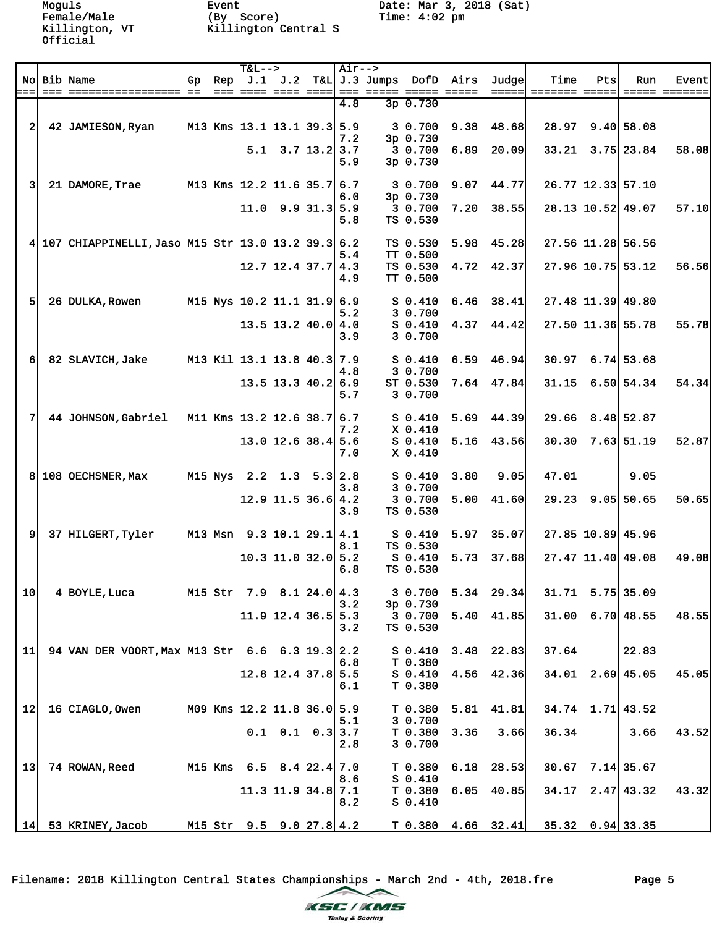Female/Male (By Score) Time: 4:02 pm Killington, VT Killington Central S

Moguls Event Date: Mar 3, 2018 (Sat)

|                |                                                     |             |           | $T&L--$                      |                          | Air-->     |                                 |      |                              |                                       |     |                          |       |
|----------------|-----------------------------------------------------|-------------|-----------|------------------------------|--------------------------|------------|---------------------------------|------|------------------------------|---------------------------------------|-----|--------------------------|-------|
|                | No Bib Name                                         | Gp          | Rep       |                              | $J.1$ $J.2$              |            | T&L J.3 Jumps DofD Airs         |      | Judge                        | Time                                  | Pts | Run                      | Event |
|                |                                                     |             |           | ===  ==== ==== ====          |                          |            |                                 |      | $=$ $=$ $=$ $=$ $=$ $\vdash$ | <u> ======= =====</u>                 |     |                          |       |
|                |                                                     |             |           |                              |                          | 4.8        | $3p$ 0.730                      |      |                              |                                       |     |                          |       |
| $\overline{2}$ | 42 JAMIESON, Ryan                                   |             |           | M13 Kms 13.1 13.1 39.3 5.9   |                          | 7.2        | 3 0.700<br>3p 0.730             | 9.38 | 48.68                        |                                       |     | 28.97 9.40 58.08         |       |
|                |                                                     |             |           |                              | $5.1$ $3.7$ $13.2$ $3.7$ | 5.9        | 3 0.700<br>3p 0.730             | 6.89 | 20.09                        |                                       |     | $33.21$ $3.75$ 23.84     | 58.08 |
| $\vert$ 3      | 21 DAMORE, Trae                                     |             |           | M13 Kms 12.2 11.6 35.7 6.7   |                          |            | 3 0.700                         | 9.07 | 44.77                        |                                       |     | 26.77 12.33 57.10        |       |
|                |                                                     |             |           |                              | $11.0$ 9.9 31.3 5.9      | 6.0<br>5.8 | 3p 0.730<br>3 0.700<br>TS 0.530 | 7.20 | 38.55                        |                                       |     | 28.13 10.52 49.07        | 57.10 |
|                | 4 107 CHIAPPINELLI, Jaso M15 Str 13.0 13.2 39.3 6.2 |             |           |                              |                          |            | TS 0.530                        | 5.98 | 45.28                        |                                       |     | 27.56 11.28 56.56        |       |
|                |                                                     |             |           |                              |                          | 5.4        | TT 0.500                        |      |                              |                                       |     |                          |       |
|                |                                                     |             |           |                              | $12.7$ 12.4 37.7 4.3     | 4.9        | TS 0.530<br>TT 0.500            | 4.72 | 42.37                        |                                       |     | 27.96 10.75 53.12        | 56.56 |
| 5              | 26 DULKA, Rowen                                     |             |           | M15 Nys $10.2$ 11.1 31.9 6.9 |                          | 5.2        | $S_0.410$<br>3 0.700            | 6.46 | 38.41                        |                                       |     | 27.48 11.39 49.80        |       |
|                |                                                     |             |           |                              | $13.5$ 13.2 40.0 4.0     | 3.9        | $S$ 0.410<br>3 0.700            | 4.37 | 44.42                        |                                       |     | 27.50 11.36 55.78        | 55.78 |
| 6              | 82 SLAVICH, Jake                                    |             |           | M13 Kil 13.1 13.8 40.3 7.9   |                          | 4.8        | $S_0.410$<br>3 0.700            | 6.59 | 46.94                        |                                       |     | $30.97$ 6.74 53.68       |       |
|                |                                                     |             |           |                              | $13.5$ 13.3 40.2 6.9     | 5.7        | ST 0.530<br>3 0.700             | 7.64 | 47.84                        |                                       |     | 31.15 6.50 54.34         | 54.34 |
| 7              | 44 JOHNSON, Gabriel                                 |             |           | M11 Kms 13.2 12.6 38.7 6.7   |                          | 7.2        | $S_0.410$<br>X 0.410            | 5.69 | 44.39                        |                                       |     | $29.66$ $8.48$ 52.87     |       |
|                |                                                     |             |           |                              | $13.0$ 12.6 38.4 5.6     | 7.0        | $S$ 0.410<br>$X$ 0.410          | 5.16 | 43.56                        | 30.30                                 |     | $7.63$ 51.19             | 52.87 |
|                | 8 108 OECHSNER, Max                                 | $M15$ $Nys$ |           |                              | $2.2$ 1.3 5.3 2.8        | 3.8        | $S_0.410$<br>3 0.700            | 3.80 | 9.05                         | 47.01                                 |     | 9.05                     |       |
|                |                                                     |             |           |                              | $12.9$ 11.5 36.6 4.2     | 3.9        | 3 0.700<br>TS 0.530             | 5.00 | 41.60                        |                                       |     | $29.23$ $9.05$ 50.65     | 50.65 |
| $\overline{9}$ | 37 HILGERT, Tyler                                   |             |           | M13 Msn 9.3 10.1 29.1 4.1    |                          | 8.1        | S 0.410<br>TS 0.530             | 5.97 | 35.07                        |                                       |     | 27.85 10.89 45.96        |       |
|                |                                                     |             |           |                              | $10.3$ 11.0 32.0 5.2     | 6.8        | S 0.410<br>TS 0.530             | 5.73 | 37.68                        |                                       |     | 27.47 11.40 49.08        | 49.08 |
| 10             | 4 BOYLE, Luca                                       |             | M15 Str   |                              | $7.9$ 8.1 24.0 4.3       | 3.2        | 3 0.700 5.34<br>3p 0.730        |      | 29.34                        | $31.71$ $5.75$ 35.09                  |     |                          |       |
|                |                                                     |             |           |                              | $11.9$ 12.4 36.5 5.3     | 3.2        | 3 0.700<br>TS 0.530             | 5.40 | 41.85                        |                                       |     | $31.00 \quad 6.70$ 48.55 | 48.55 |
| 11             | 94 VAN DER VOORT, Max M13 Str 6.6 6.3 19.3 2.2      |             |           |                              |                          | 6.8        | $S_0.410$<br>T 0.380            | 3.48 | 22.83                        | 37.64                                 |     | 22.83                    |       |
|                |                                                     |             |           |                              | $12.8$ 12.4 37.8 5.5     | 6.1        | $S$ 0.410<br>T 0.380            | 4.56 | 42.36                        |                                       |     | $34.01$ $2.69$ 45.05     | 45.05 |
| 12             | 16 CIAGLO, Owen                                     |             |           | M09 Kms $12.2$ 11.8 36.0 5.9 |                          | 5.1        | T 0.380<br>3 0.700              | 5.81 | 41.81                        |                                       |     | $34.74$ 1.71 43.52       |       |
|                |                                                     |             |           |                              | $0.1$ $0.1$ $0.3$ 3.7    | 2.8        | T 0.380<br>3 0.700              | 3.36 | 3.66                         | 36.34                                 |     | 3.66                     | 43.52 |
| 13             | 74 ROWAN, Reed                                      |             | $M15$ Kms |                              | $6.5$ $8.4$ $22.4$ 7.0   | 8.6        | T 0.380<br>$S$ 0.410            | 6.18 | 28.53                        |                                       |     | $30.67$ 7.14 35.67       |       |
|                |                                                     |             |           |                              | $11.3$ 11.9 34.8 7.1     | 8.2        | T 0.380<br>$S_0.410$            | 6.05 | 40.85                        |                                       |     | $34.17$ $2.47$ $43.32$   | 43.32 |
|                | $14$ 53 KRINEY, Jacob                               |             |           | M15 Str $9.5$ 9.0 27.8 4.2   |                          |            |                                 |      |                              | $T$ 0.380 4.66 32.41 35.32 0.94 33.35 |     |                          |       |
|                |                                                     |             |           |                              |                          |            |                                 |      |                              |                                       |     |                          |       |

Filename: 2018 Killington Central States Championships - March 2nd - 4th, 2018.fre Page 5

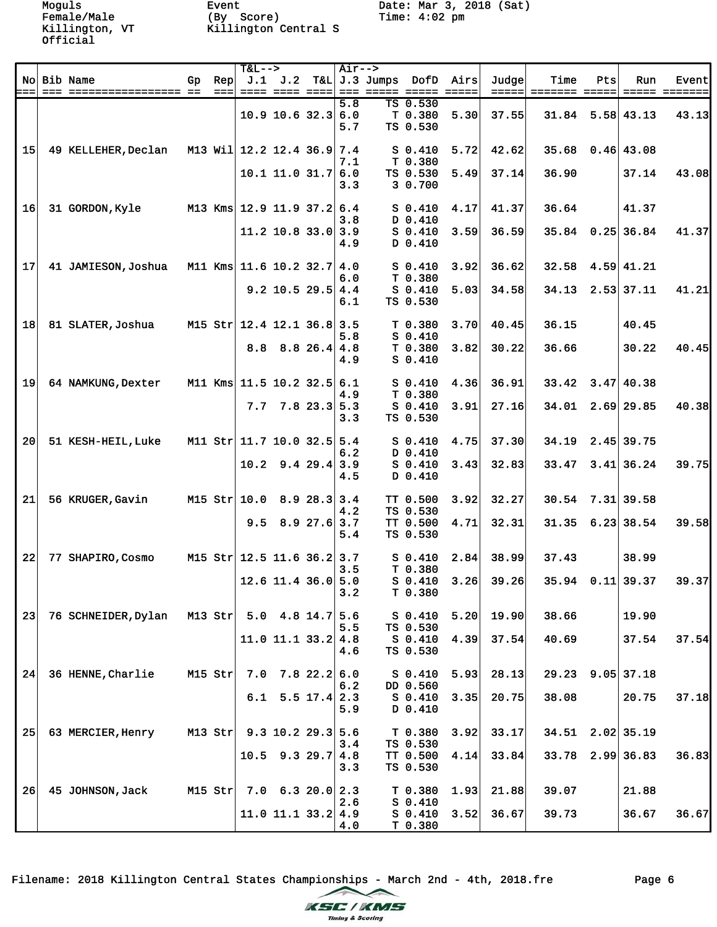Female/Male (By Score) Time: 4:02 pm Killington, VT Killington Central S

|    |                     |           |                 | T&L-->                       |                            |                | Air-->     |                             |                                 |      |                         |                              |     |                      |       |
|----|---------------------|-----------|-----------------|------------------------------|----------------------------|----------------|------------|-----------------------------|---------------------------------|------|-------------------------|------------------------------|-----|----------------------|-------|
|    | No Bib Name         | Gp        | Rep             |                              |                            |                |            | $J.1$ $J.2$ T&L $J.3$ Jumps | DofD Airs                       |      | Judge                   | Time                         | Pts | Run                  | Event |
|    |                     |           | $=$ $=$ $=$ $ $ |                              | ==== ==== ====             |                |            |                             |                                 |      | $=$ $=$ $=$ $=$ $\vert$ | ======= =====  ===== ======= |     |                      |       |
|    |                     |           |                 |                              | $10.9$ 10.6 32.3 6.0       |                | 5.8<br>5.7 |                             | TS 0.530<br>T 0.380<br>TS 0.530 | 5.30 | 37.55                   |                              |     | $31.84$ 5.58 43.13   | 43.13 |
| 15 | 49 KELLEHER, Declan |           |                 | M13 Wil 12.2 12.4 36.9       |                            |                | 7.4<br>7.1 |                             | $S_0.410$<br>T 0.380            | 5.72 | 42.62                   | 35.68                        |     | $0.46$ 43.08         |       |
|    |                     |           |                 |                              | $10.1$ 11.0 31.7           |                | 6.0<br>3.3 |                             | TS 0.530<br>3 0.700             | 5.49 | 37.14                   | 36.90                        |     | 37.14                | 43.08 |
| 16 | 31 GORDON, Kyle     |           |                 | M13 Kms $12.9$ 11.9 37.2     |                            |                | 6.4<br>3.8 |                             | $S$ 0.410<br>D 0.410            | 4.17 | 41.37                   | 36.64                        |     | 41.37                |       |
|    |                     |           |                 |                              | $11.2$ 10.8 33.0 3.9       |                | 4.9        |                             | $S$ 0.410<br>D 0.410            | 3.59 | 36.59                   |                              |     | 35.84 0.25 36.84     | 41.37 |
| 17 | 41 JAMIESON, Joshua |           |                 | M11 Kms 11.6 10.2 32.7       |                            |                | 4.0<br>6.0 |                             | $S$ 0.410<br>T 0.380            | 3.92 | 36.62                   | 32.58                        |     | $4.59$ $41.21$       |       |
|    |                     |           |                 |                              | $9.2$ 10.5 29.5 4.4        |                | 6.1        |                             | $S$ 0.410<br>TS 0.530           | 5.03 | 34.58                   | 34.13                        |     | $2.53$ 37.11         | 41.21 |
| 18 | 81 SLATER, Joshua   |           |                 | M15 Str $12.4$ 12.1 36.8 3.5 |                            |                | 5.8        |                             | T 0.380<br>$S$ 0.410            | 3.70 | 40.45                   | 36.15                        |     | 40.45                |       |
|    |                     |           |                 |                              | $8.8$ $8.8$ $26.4$ $4.8$   |                | 4.9        |                             | T 0.380<br>$S$ 0.410            | 3.82 | 30.22                   | 36.66                        |     | 30.22                | 40.45 |
| 19 | 64 NAMKUNG, Dexter  |           |                 | M11 Kms 11.5 10.2 32.5 6.1   |                            |                | 4.9        |                             | $S_0.410$<br>T 0.380            | 4.36 | 36.91                   | 33.42                        |     | 3.47 40.38           |       |
|    |                     |           |                 |                              | $7.7$ $7.8$ $23.3$ 5.3     |                | 3.3        |                             | $S$ 0.410<br>TS 0.530           | 3.91 | 27.16                   | 34.01                        |     | $2.69$ 29.85         | 40.38 |
| 20 | 51 KESH-HEIL, Luke  |           |                 | M11 Str 11.7 10.0 32.5 5.4   |                            |                | 6.2        |                             | $S$ 0.410<br>D 0.410            | 4.75 | 37.30                   | 34.19                        |     | $2.45$ 39.75         |       |
|    |                     |           |                 |                              | $10.2$ 9.4 29.4 3.9        |                | 4.5        |                             | $S$ 0.410<br>D 0.410            | 3.43 | 32.83                   |                              |     | $33.47$ $3.41$ 36.24 | 39.75 |
| 21 | 56 KRUGER, Gavin    |           |                 | $M15$ Str $10.0$             |                            | 8.928.333.4    | 4.2        |                             | TT 0.500<br>TS 0.530            | 3.92 | 32.27                   |                              |     | $30.54$ 7.31 39.58   |       |
|    |                     |           |                 |                              | $9.5$ 8.9 27.6 3.7         |                | 5.4        |                             | TT 0.500<br>TS 0.530            | 4.71 | 32.31                   |                              |     | $31.35$ 6.23 38.54   | 39.58 |
| 22 | 77 SHAPIRO, Cosmo   |           |                 | M15 Str 12.5 11.6 36.2 3.7   |                            |                | 3.5        |                             | $S_0.410$<br>T 0.380            | 2.84 | 38.99                   | 37.43                        |     | 38.99                |       |
|    |                     |           |                 |                              | $12.6$ 11.4 36.0 5.0       |                | 3.2        |                             | $S_0.410$<br>T 0.380            | 3.26 | 39.26                   |                              |     | $35.94$ 0.11 39.37   | 39.37 |
| 23 | 76 SCHNEIDER, Dylan | $M13$ Str |                 |                              | $5.0 \quad 4.8 \quad 14.7$ |                | 5.6<br>5.5 |                             | $S_0.410$<br>TS 0.530           | 5.20 | 19.90                   | 38.66                        |     | 19.90                |       |
|    |                     |           |                 |                              | 11.0 11.1 33.2 4.8         |                | 4.6        |                             | $S$ 0.410<br>TS 0.530           | 4.39 | 37.54                   | 40.69                        |     | 37.54                | 37.54 |
| 24 | 36 HENNE, Charlie   | $M15$ Str |                 | 7.0                          |                            | $7.8$ 22.2 6.0 | 6.2        |                             | $S_0.410$<br>DD 0.560           | 5.93 | 28.13                   |                              |     | $29.23$ $9.05$ 37.18 |       |
|    |                     |           |                 |                              | 6.1 5.5 17.4 $2.3$         |                | 5.9        |                             | $S$ 0.410<br>D 0.410            | 3.35 | 20.75                   | 38.08                        |     | 20.75                | 37.18 |
| 25 | 63 MERCIER, Henry   | $M13$ Str |                 |                              | $9.3$ 10.2 29.3            |                | 5.6<br>3.4 |                             | T 0.380<br>TS 0.530             | 3.92 | 33.17                   |                              |     | 34.51 2.02 35.19     |       |
|    |                     |           |                 |                              | $10.5$ 9.3 29.7            |                | 4.8<br>3.3 |                             | TT 0.500<br>TS 0.530            | 4.14 | 33.84                   |                              |     | 33.78 2.99 36.83     | 36.83 |
| 26 | 45 JOHNSON, Jack    | $M15$ Str |                 |                              | $7.0 \t6.3 \t20.0$         |                | 2.3<br>2.6 |                             | T 0.380<br>$S$ 0.410            | 1.93 | 21.88                   | 39.07                        |     | 21.88                |       |
|    |                     |           |                 |                              | $11.0$ 11.1 33.2 4.9       |                | 4.0        |                             | $S$ 0.410<br>T 0.380            | 3.52 | 36.67                   | 39.73                        |     | 36.67                | 36.67 |

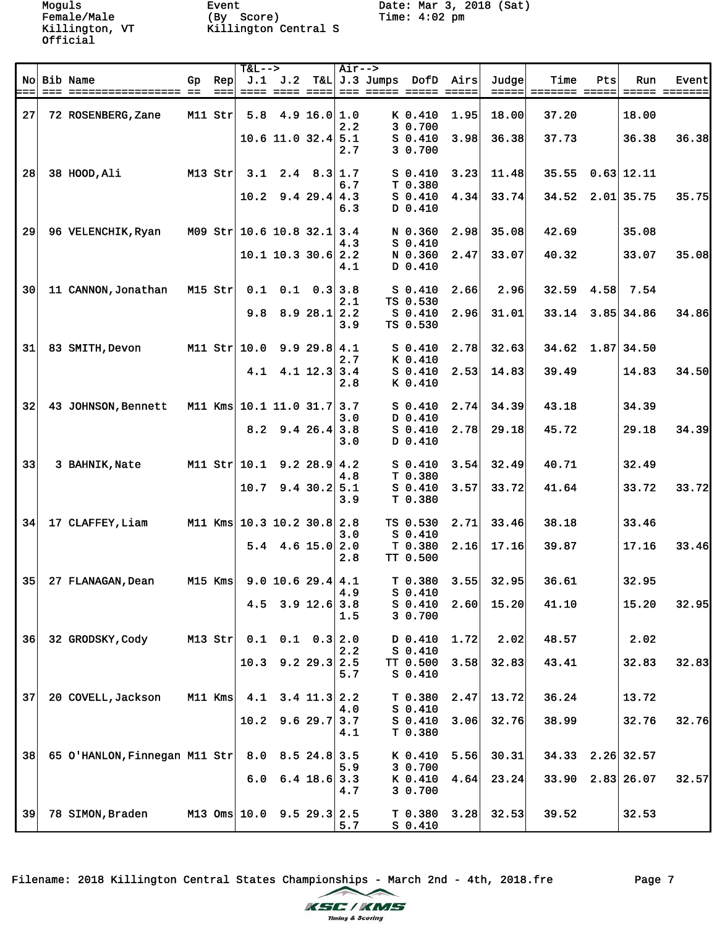Female/Male (By Score) Time: 4:02 pm Killington, VT Killington Central S

|                 |                               |    |              | <b>T&amp;L--&gt;</b> |                                        |                             | $Air--$    |                 |                                 |      |                |                       |      |                    |       |
|-----------------|-------------------------------|----|--------------|----------------------|----------------------------------------|-----------------------------|------------|-----------------|---------------------------------|------|----------------|-----------------------|------|--------------------|-------|
|                 | No Bib Name                   | Gp | Rep<br>$===$ |                      | $J.1$ $J.2$<br><u> ==== ==== ==== </u> |                             |            | $T&L$ J.3 Jumps | DofD<br>=== ===== ===== =====   | Airs | Judge<br>===== | Time<br>======= ===== | Pts  | Run                | Event |
| 27              | 72 ROSENBERG, Zane            |    | $M11$ Str    |                      | $5.8$ 4.9 16.0 1.0                     |                             |            |                 | K 0.410                         | 1.95 | 18.00          | 37.20                 |      | 18.00              |       |
|                 |                               |    |              |                      | $10.6$ 11.0 32.4 5.1                   |                             | 2.2<br>2.7 |                 | 3 0.700<br>$S$ 0.410<br>3 0.700 | 3.98 | 36.38          | 37.73                 |      | 36.38              | 36.38 |
| 28              | 38 HOOD, Ali                  |    | $M13$ Str    | 3.1                  |                                        | $2.4$ 8.3 1.7               | 6.7        |                 | $S_0.410$                       | 3.23 | 11.48          | 35.55                 |      | $0.63$ 12.11       |       |
|                 |                               |    |              | 10.2                 |                                        | $9.4$ 29.4 4.3              | 6.3        |                 | T 0.380<br>$S$ 0.410<br>D 0.410 | 4.34 | 33.74          |                       |      | 34.52 2.01 35.75   | 35.75 |
| 29              | 96 VELENCHIK, Ryan            |    |              |                      | M09 Str 10.6 10.8 32.1 3.4             |                             | 4.3        |                 | N 0.360<br>$S_0.410$            | 2.98 | 35.08          | 42.69                 |      | 35.08              |       |
|                 |                               |    |              |                      | $10.1$ 10.3 30.6 2.2                   |                             | 4.1        |                 | N 0.360<br>D 0.410              | 2.47 | 33.07          | 40.32                 |      | 33.07              | 35.08 |
| 30 <sup>1</sup> | 11 CANNON, Jonathan           |    | $M15$ Str    | 0.1                  |                                        | $0.1 \quad 0.3 \mid 3.8$    | 2.1        |                 | $S_0.410$<br>TS 0.530           | 2.66 | 2.96           | 32.59                 | 4.58 | 7.54               |       |
|                 |                               |    |              | 9.8                  |                                        | 8.928.12.2                  | 3.9        |                 | $S_0.410$<br>TS 0.530           | 2.96 | 31.01          |                       |      | 33.14 3.85 34.86   | 34.86 |
| 31              | 83 SMITH, Devon               |    |              | M11 Str $ 10.0$      |                                        | 9.929.8 4.1                 | 2.7        |                 | $S$ 0.410<br>K 0.410            | 2.78 | 32.63          |                       |      | $34.62$ 1.87 34.50 |       |
|                 |                               |    |              | 4.1                  |                                        | $4.1$ 12.3 3.4              | 2.8        |                 | $S_0.410$<br>K 0.410            | 2.53 | 14.83          | 39.49                 |      | 14.83              | 34.50 |
| 32              | 43 JOHNSON, Bennett           |    |              |                      | M11 Kms 10.1 11.0 31.7 3.7             |                             | 3.0        |                 | $S_0.410$<br>D 0.410            | 2.74 | 34.39          | 43.18                 |      | 34.39              |       |
|                 |                               |    |              |                      | $8.2$ 9.4 26.4 3.8                     |                             | 3.0        |                 | $S$ 0.410<br>D 0.410            | 2.78 | 29.18          | 45.72                 |      | 29.18              | 34.39 |
| 33              | 3 BAHNIK, Nate                |    |              | M11 Str 10.1         |                                        | $9.2$ 28.9 4.2              | 4.8        |                 | $S_0.410$<br>T 0.380            | 3.54 | 32.49          | 40.71                 |      | 32.49              |       |
|                 |                               |    |              |                      | $10.7$ 9.4 30.2 5.1                    |                             | 3.9        |                 | $S$ 0.410<br>T 0.380            | 3.57 | 33.72          | 41.64                 |      | 33.72              | 33.72 |
| 34              | 17 CLAFFEY, Liam              |    | $M11$ Kms    |                      | $10.3$ 10.2 30.8 2.8                   |                             | 3.0        |                 | TS 0.530<br>$S$ 0.410           | 2.71 | 33.46          | 38.18                 |      | 33.46              |       |
|                 |                               |    |              |                      | $5.4$ 4.6 15.0 2.0                     |                             | 2.8        |                 | T 0.380<br>TT 0.500             | 2.16 | 17.16          | 39.87                 |      | 17.16              | 33.46 |
| 35              | 27 FLANAGAN, Dean             |    | $M15$ Kms    |                      | 9.0 10.6 29.4   4.1                    |                             | 4.9        |                 | T 0.380<br>$S$ 0.410            | 3.55 | 32.95          | 36.61                 |      | 32.95              |       |
|                 |                               |    |              | 4.5                  |                                        | $3.9$ 12.6 3.8              | 1.5        |                 | $S$ 0.410<br>3 0.700            | 2.60 | 15.20          | 41.10                 |      | 15.20              | 32.95 |
| 36              | 32 GRODSKY, Cody              |    | $M13$ Str    | 0.1                  |                                        | $0.1 \quad 0.3 \,   \, 2.0$ | 2.2        |                 | D 0.410<br>$S$ 0.410            | 1.72 | 2.02           | 48.57                 |      | 2.02               |       |
|                 |                               |    |              | 10.3                 |                                        | $9.2$ 29.3 2.5              | 5.7        |                 | TT 0.500<br>$S$ 0.410           | 3.58 | 32.83          | 43.41                 |      | 32.83              | 32.83 |
| 37              | 20 COVELL, Jackson            |    | $M11$ Kms    | 4.1                  |                                        | $3.4$ 11.3 2.2              | 4.0        |                 | T 0.380<br>$S$ 0.410            | 2.47 | 13.72          | 36.24                 |      | 13.72              |       |
|                 |                               |    |              | 10.2                 |                                        | $9.6$ 29.7 3.7              | 4.1        |                 | $S$ 0.410<br>T 0.380            | 3.06 | 32.76          | 38.99                 |      | 32.76              | 32.76 |
| 38              | 65 O'HANLON, Finnegan M11 Str |    |              | 8.0                  |                                        | $8.5$ 24.8 3.5              | 5.9        |                 | K 0.410<br>3 0.700              | 5.56 | 30.31          | 34.33                 |      | $2.26$ 32.57       |       |
|                 |                               |    |              | 6.0                  |                                        | $6.4$ 18.6 3.3              | 4.7        |                 | K 0.410<br>3 0.700              | 4.64 | 23.24          |                       |      | 33.90 2.83 26.07   | 32.57 |
| 39              | 78 SIMON, Braden              |    |              | $M13$ Oms $10.0$     |                                        | $9.5$ 29.3 2.5              | 5.7        |                 | T 0.380<br>$S_0.410$            | 3.28 | 32.53          | 39.52                 |      | 32.53              |       |